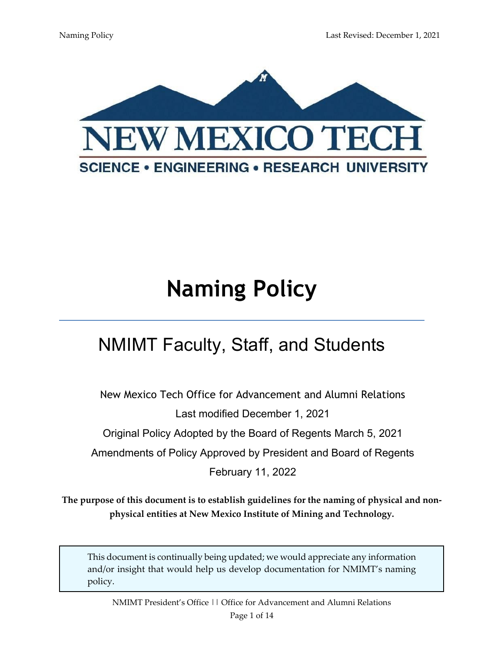

# **Naming Policy**

# NMIMT Faculty, Staff, and Students

New Mexico Tech Office for Advancement and Alumni Relations Last modified December 1, 2021

Original Policy Adopted by the Board of Regents March 5, 2021

Amendments of Policy Approved by President and Board of Regents

February 11, 2022

**The purpose of this document is to establish guidelines for the naming of physical and nonphysical entities at New Mexico Institute of Mining and Technology.** 

This document is continually being updated; we would appreciate any information and/or insight that would help us develop documentation for NMIMT's naming policy.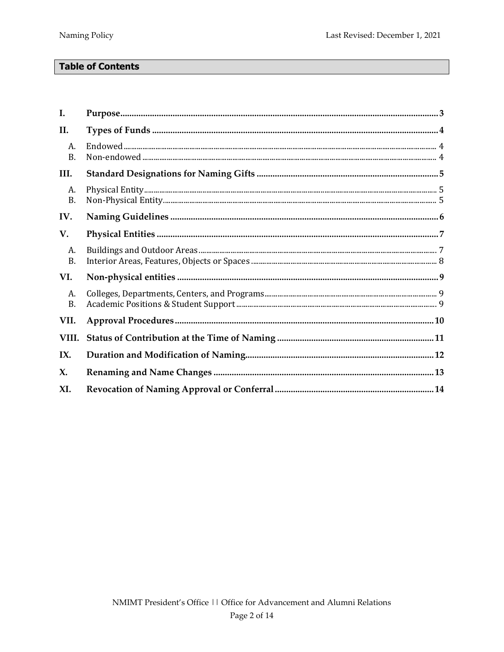# **Table of Contents**

| I.              |  |
|-----------------|--|
| II.             |  |
| A.<br><b>B.</b> |  |
| III.            |  |
| A.<br><b>B.</b> |  |
| IV.             |  |
| V.              |  |
| A.<br><b>B.</b> |  |
| VI.             |  |
| A.<br><b>B.</b> |  |
| VII.            |  |
| VIII.           |  |
| IX.             |  |
| X.              |  |
| XI.             |  |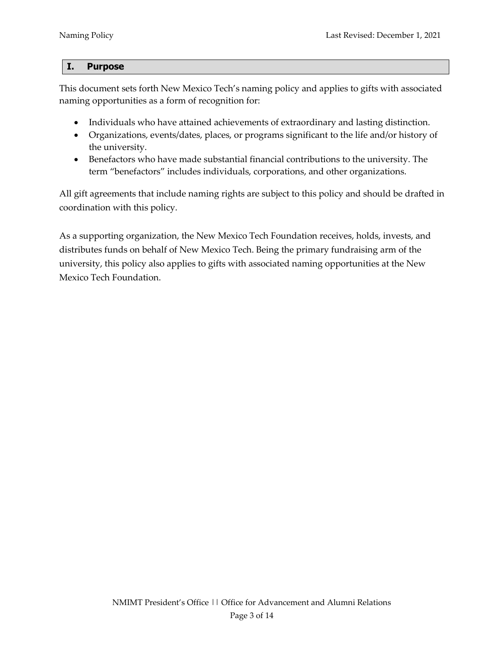#### <span id="page-2-0"></span>**I. Purpose**

This document sets forth New Mexico Tech's naming policy and applies to gifts with associated naming opportunities as a form of recognition for:

- Individuals who have attained achievements of extraordinary and lasting distinction.
- Organizations, events/dates, places, or programs significant to the life and/or history of the university.
- Benefactors who have made substantial financial contributions to the university. The term "benefactors" includes individuals, corporations, and other organizations.

All gift agreements that include naming rights are subject to this policy and should be drafted in coordination with this policy.

As a supporting organization, the New Mexico Tech Foundation receives, holds, invests, and distributes funds on behalf of New Mexico Tech. Being the primary fundraising arm of the university, this policy also applies to gifts with associated naming opportunities at the New Mexico Tech Foundation.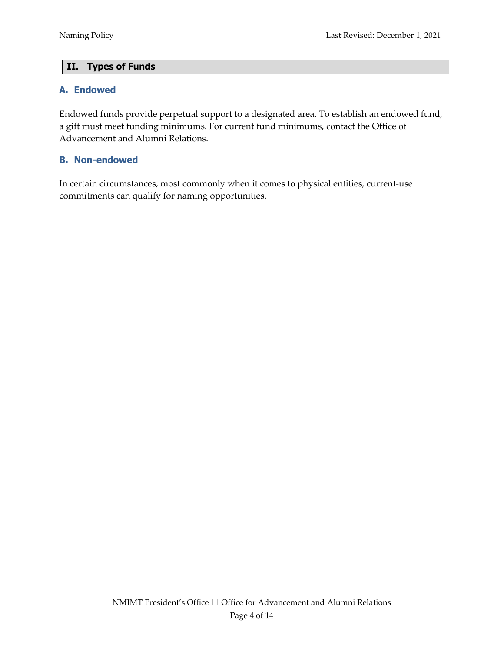# <span id="page-3-0"></span>**II. Types of Funds**

## <span id="page-3-1"></span>**A. Endowed**

Endowed funds provide perpetual support to a designated area. To establish an endowed fund, a gift must meet funding minimums. For current fund minimums, contact the Office of Advancement and Alumni Relations.

## <span id="page-3-2"></span>**B. Non-endowed**

In certain circumstances, most commonly when it comes to physical entities, current-use commitments can qualify for naming opportunities.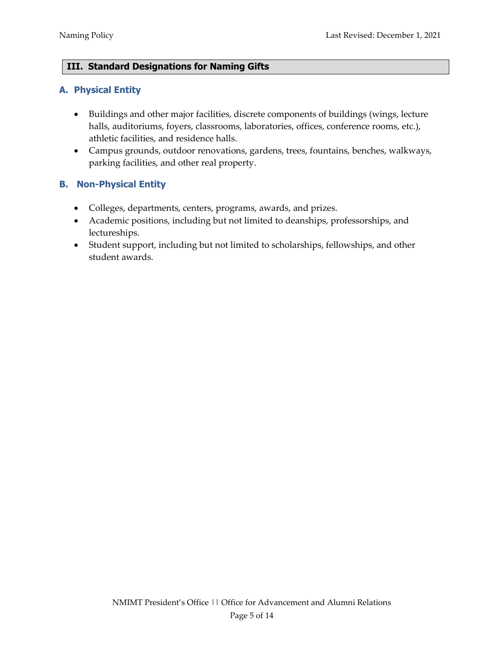# <span id="page-4-0"></span>**III. Standard Designations for Naming Gifts**

## <span id="page-4-1"></span>**A. Physical Entity**

- Buildings and other major facilities, discrete components of buildings (wings, lecture halls, auditoriums, foyers, classrooms, laboratories, offices, conference rooms, etc.), athletic facilities, and residence halls.
- Campus grounds, outdoor renovations, gardens, trees, fountains, benches, walkways, parking facilities, and other real property.

# <span id="page-4-2"></span>**B. Non-Physical Entity**

- Colleges, departments, centers, programs, awards, and prizes.
- Academic positions, including but not limited to deanships, professorships, and lectureships.
- Student support, including but not limited to scholarships, fellowships, and other student awards.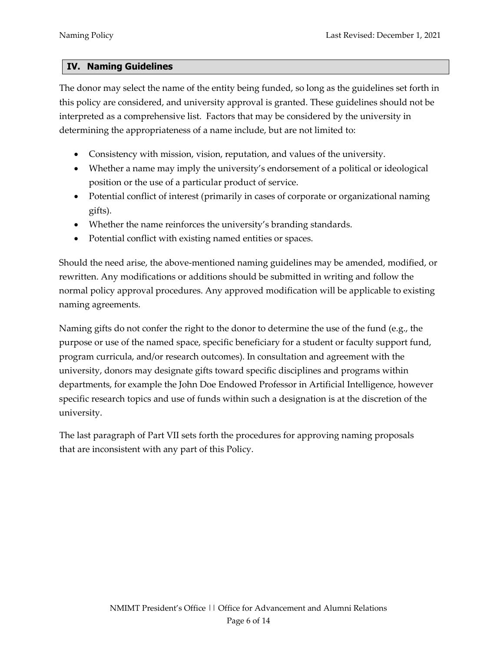#### <span id="page-5-0"></span>**IV. Naming Guidelines**

The donor may select the name of the entity being funded, so long as the guidelines set forth in this policy are considered, and university approval is granted. These guidelines should not be interpreted as a comprehensive list. Factors that may be considered by the university in determining the appropriateness of a name include, but are not limited to:

- Consistency with mission, vision, reputation, and values of the university.
- Whether a name may imply the university's endorsement of a political or ideological position or the use of a particular product of service.
- Potential conflict of interest (primarily in cases of corporate or organizational naming gifts).
- Whether the name reinforces the university's branding standards.
- Potential conflict with existing named entities or spaces.

Should the need arise, the above-mentioned naming guidelines may be amended, modified, or rewritten. Any modifications or additions should be submitted in writing and follow the normal policy approval procedures. Any approved modification will be applicable to existing naming agreements.

Naming gifts do not confer the right to the donor to determine the use of the fund (e.g., the purpose or use of the named space, specific beneficiary for a student or faculty support fund, program curricula, and/or research outcomes). In consultation and agreement with the university, donors may designate gifts toward specific disciplines and programs within departments, for example the John Doe Endowed Professor in Artificial Intelligence, however specific research topics and use of funds within such a designation is at the discretion of the university.

The last paragraph of Part VII sets forth the procedures for approving naming proposals that are inconsistent with any part of this Policy.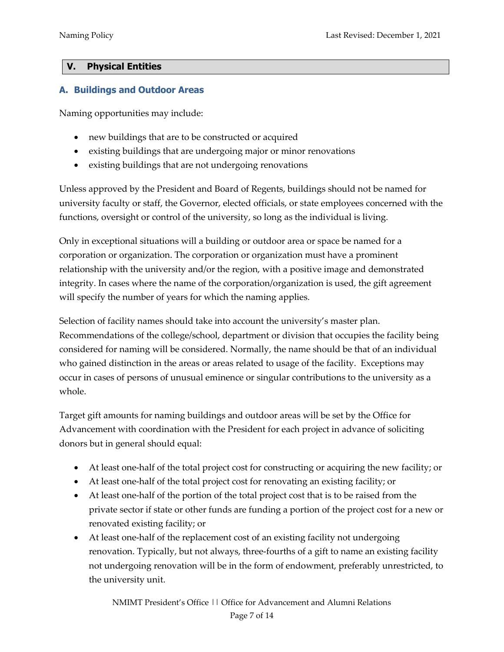# <span id="page-6-0"></span>**V. Physical Entities**

# <span id="page-6-1"></span>**A. Buildings and Outdoor Areas**

Naming opportunities may include:

- new buildings that are to be constructed or acquired
- existing buildings that are undergoing major or minor renovations
- existing buildings that are not undergoing renovations

Unless approved by the President and Board of Regents, buildings should not be named for university faculty or staff, the Governor, elected officials, or state employees concerned with the functions, oversight or control of the university, so long as the individual is living.

Only in exceptional situations will a building or outdoor area or space be named for a corporation or organization. The corporation or organization must have a prominent relationship with the university and/or the region, with a positive image and demonstrated integrity. In cases where the name of the corporation/organization is used, the gift agreement will specify the number of years for which the naming applies.

Selection of facility names should take into account the university's master plan. Recommendations of the college/school, department or division that occupies the facility being considered for naming will be considered. Normally, the name should be that of an individual who gained distinction in the areas or areas related to usage of the facility. Exceptions may occur in cases of persons of unusual eminence or singular contributions to the university as a whole.

Target gift amounts for naming buildings and outdoor areas will be set by the Office for Advancement with coordination with the President for each project in advance of soliciting donors but in general should equal:

- At least one-half of the total project cost for constructing or acquiring the new facility; or
- At least one-half of the total project cost for renovating an existing facility; or
- At least one-half of the portion of the total project cost that is to be raised from the private sector if state or other funds are funding a portion of the project cost for a new or renovated existing facility; or
- At least one-half of the replacement cost of an existing facility not undergoing renovation. Typically, but not always, three-fourths of a gift to name an existing facility not undergoing renovation will be in the form of endowment, preferably unrestricted, to the university unit.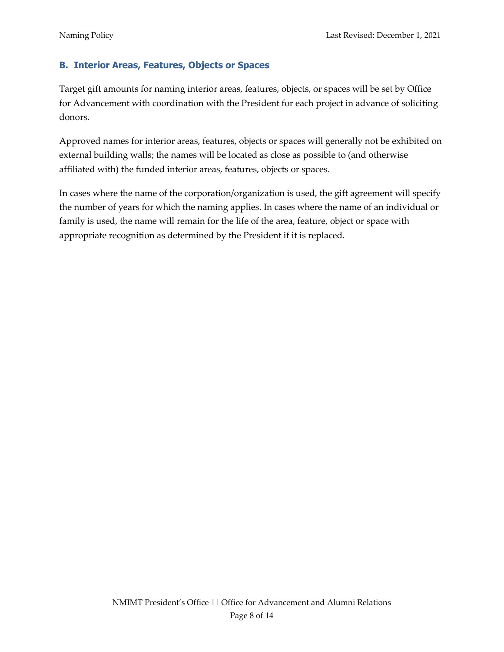# <span id="page-7-0"></span>**B. Interior Areas, Features, Objects or Spaces**

Target gift amounts for naming interior areas, features, objects, or spaces will be set by Office for Advancement with coordination with the President for each project in advance of soliciting donors.

Approved names for interior areas, features, objects or spaces will generally not be exhibited on external building walls; the names will be located as close as possible to (and otherwise affiliated with) the funded interior areas, features, objects or spaces.

In cases where the name of the corporation/organization is used, the gift agreement will specify the number of years for which the naming applies. In cases where the name of an individual or family is used, the name will remain for the life of the area, feature, object or space with appropriate recognition as determined by the President if it is replaced.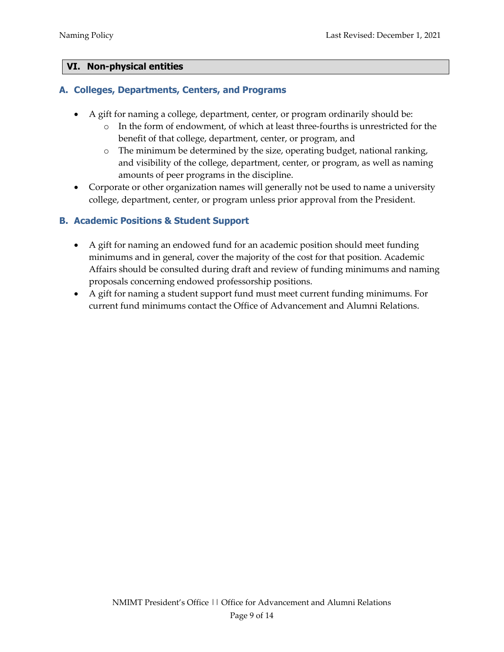# <span id="page-8-0"></span>**VI. Non-physical entities**

## <span id="page-8-1"></span>**A. Colleges, Departments, Centers, and Programs**

- A gift for naming a college, department, center, or program ordinarily should be:
	- o In the form of endowment, of which at least three-fourths is unrestricted for the benefit of that college, department, center, or program, and
	- o The minimum be determined by the size, operating budget, national ranking, and visibility of the college, department, center, or program, as well as naming amounts of peer programs in the discipline.
- Corporate or other organization names will generally not be used to name a university college, department, center, or program unless prior approval from the President.

# <span id="page-8-2"></span>**B. Academic Positions & Student Support**

- A gift for naming an endowed fund for an academic position should meet funding minimums and in general, cover the majority of the cost for that position. Academic Affairs should be consulted during draft and review of funding minimums and naming proposals concerning endowed professorship positions.
- A gift for naming a student support fund must meet current funding minimums. For current fund minimums contact the Office of Advancement and Alumni Relations.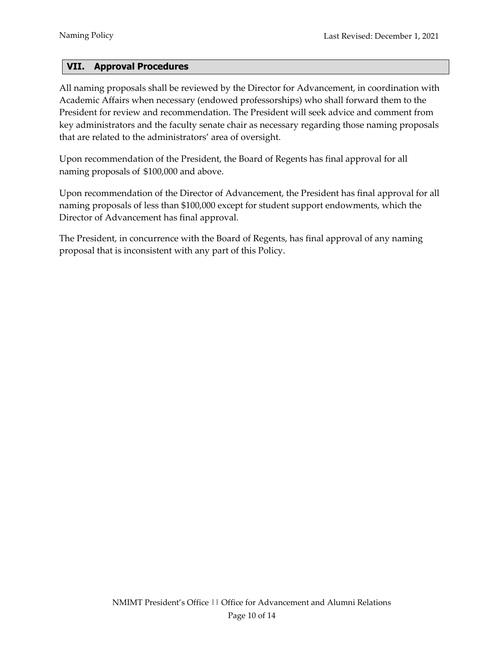# <span id="page-9-0"></span>**VII. Approval Procedures**

All naming proposals shall be reviewed by the Director for Advancement, in coordination with Academic Affairs when necessary (endowed professorships) who shall forward them to the President for review and recommendation. The President will seek advice and comment from key administrators and the faculty senate chair as necessary regarding those naming proposals that are related to the administrators' area of oversight.

Upon recommendation of the President, the Board of Regents has final approval for all naming proposals of \$100,000 and above.

Upon recommendation of the Director of Advancement, the President has final approval for all naming proposals of less than \$100,000 except for student support endowments, which the Director of Advancement has final approval.

The President, in concurrence with the Board of Regents, has final approval of any naming proposal that is inconsistent with any part of this Policy.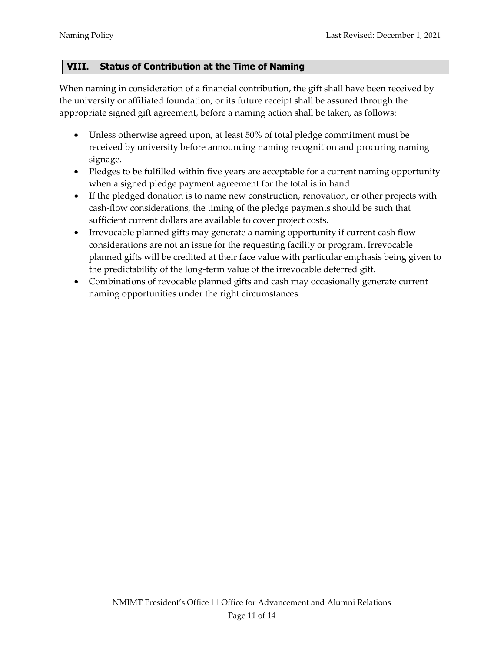# <span id="page-10-0"></span>**VIII. Status of Contribution at the Time of Naming**

When naming in consideration of a financial contribution, the gift shall have been received by the university or affiliated foundation, or its future receipt shall be assured through the appropriate signed gift agreement, before a naming action shall be taken, as follows:

- Unless otherwise agreed upon, at least 50% of total pledge commitment must be received by university before announcing naming recognition and procuring naming signage.
- Pledges to be fulfilled within five years are acceptable for a current naming opportunity when a signed pledge payment agreement for the total is in hand.
- If the pledged donation is to name new construction, renovation, or other projects with cash-flow considerations, the timing of the pledge payments should be such that sufficient current dollars are available to cover project costs.
- Irrevocable planned gifts may generate a naming opportunity if current cash flow considerations are not an issue for the requesting facility or program. Irrevocable planned gifts will be credited at their face value with particular emphasis being given to the predictability of the long-term value of the irrevocable deferred gift.
- Combinations of revocable planned gifts and cash may occasionally generate current naming opportunities under the right circumstances.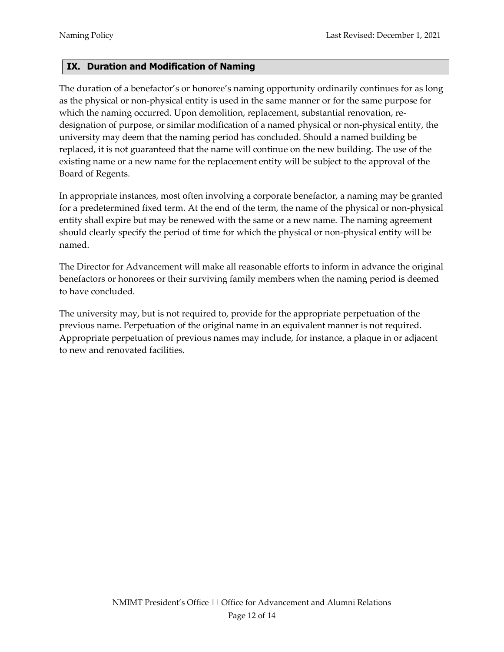# <span id="page-11-0"></span>**IX. Duration and Modification of Naming**

The duration of a benefactor's or honoree's naming opportunity ordinarily continues for as long as the physical or non-physical entity is used in the same manner or for the same purpose for which the naming occurred. Upon demolition, replacement, substantial renovation, redesignation of purpose, or similar modification of a named physical or non-physical entity, the university may deem that the naming period has concluded. Should a named building be replaced, it is not guaranteed that the name will continue on the new building. The use of the existing name or a new name for the replacement entity will be subject to the approval of the Board of Regents.

In appropriate instances, most often involving a corporate benefactor, a naming may be granted for a predetermined fixed term. At the end of the term, the name of the physical or non-physical entity shall expire but may be renewed with the same or a new name. The naming agreement should clearly specify the period of time for which the physical or non-physical entity will be named.

The Director for Advancement will make all reasonable efforts to inform in advance the original benefactors or honorees or their surviving family members when the naming period is deemed to have concluded.

The university may, but is not required to, provide for the appropriate perpetuation of the previous name. Perpetuation of the original name in an equivalent manner is not required. Appropriate perpetuation of previous names may include, for instance, a plaque in or adjacent to new and renovated facilities.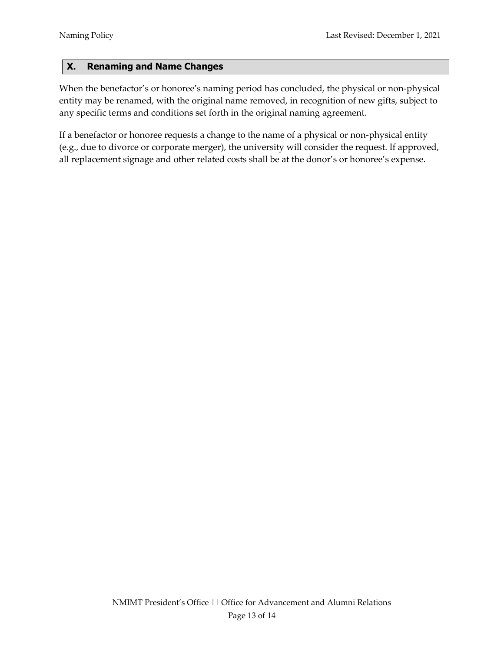# <span id="page-12-0"></span>**X. Renaming and Name Changes**

When the benefactor's or honoree's naming period has concluded, the physical or non-physical entity may be renamed, with the original name removed, in recognition of new gifts, subject to any specific terms and conditions set forth in the original naming agreement.

If a benefactor or honoree requests a change to the name of a physical or non-physical entity (e.g., due to divorce or corporate merger), the university will consider the request. If approved, all replacement signage and other related costs shall be at the donor's or honoree's expense.